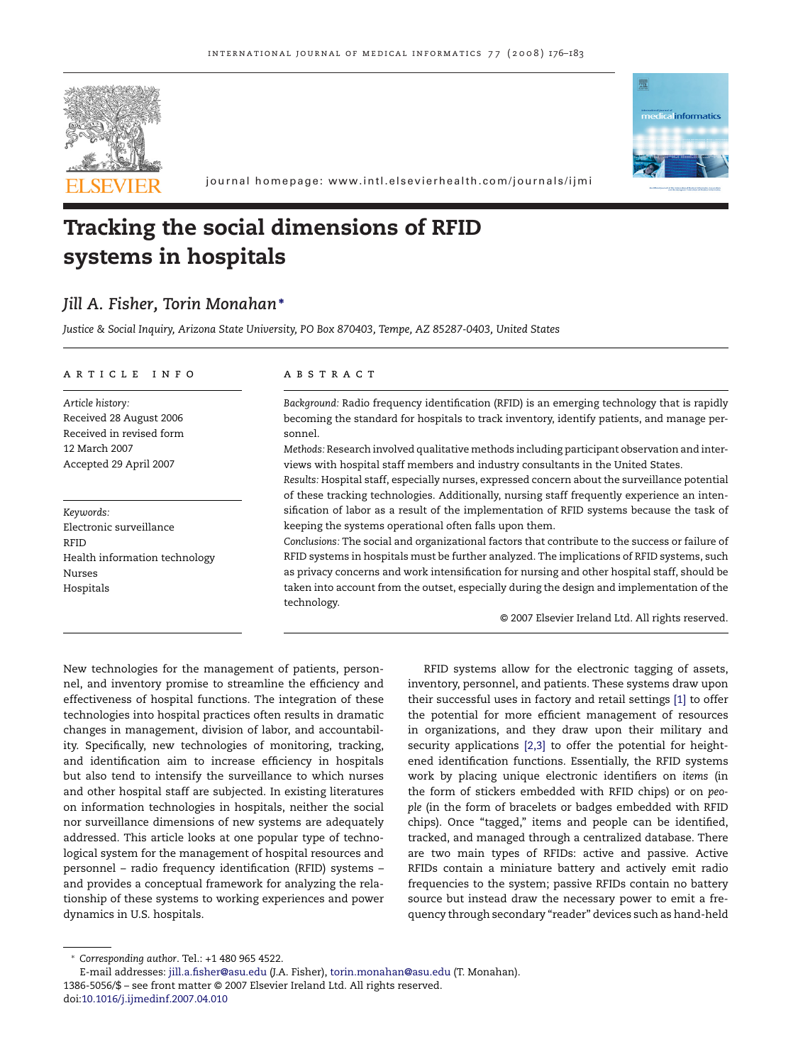



journal homepage: www.intl.elsevierhealth.com/journals/ijmi

# **Tracking the social dimensions of RFID systems in hospitals**

# *Jill A. Fisher, Torin Monahan***<sup>∗</sup>**

*Justice & Social Inquiry, Arizona State University, PO Box 870403, Tempe, AZ 85287-0403, United States*

#### article info

*Article history:* Received 28 August 2006 Received in revised form 12 March 2007 Accepted 29 April 2007

*Keywords:* Electronic surveillance RFID Health information technology Nurses Hospitals

#### A B S T R A C T

*Background:* Radio frequency identification (RFID) is an emerging technology that is rapidly becoming the standard for hospitals to track inventory, identify patients, and manage personnel.

*Methods:* Research involved qualitative methods including participant observation and interviews with hospital staff members and industry consultants in the United States.

*Results:* Hospital staff, especially nurses, expressed concern about the surveillance potential of these tracking technologies. Additionally, nursing staff frequently experience an intensification of labor as a result of the implementation of RFID systems because the task of keeping the systems operational often falls upon them.

*Conclusions:* The social and organizational factors that contribute to the success or failure of RFID systems in hospitals must be further analyzed. The implications of RFID systems, such as privacy concerns and work intensification for nursing and other hospital staff, should be taken into account from the outset, especially during the design and implementation of the technology.

© 2007 Elsevier Ireland Ltd. All rights reserved.

New technologies for the management of patients, personnel, and inventory promise to streamline the efficiency and effectiveness of hospital functions. The integration of these technologies into hospital practices often results in dramatic changes in management, division of labor, and accountability. Specifically, new technologies of monitoring, tracking, and identification aim to increase efficiency in hospitals but also tend to intensify the surveillance to which nurses and other hospital staff are subjected. In existing literatures on information technologies in hospitals, neither the social nor surveillance dimensions of new systems are adequately addressed. This article looks at one popular type of technological system for the management of hospital resources and personnel – radio frequency identification (RFID) systems – and provides a conceptual framework for analyzing the relationship of these systems to working experiences and power dynamics in U.S. hospitals.

RFID systems allow for the electronic tagging of assets, inventory, personnel, and patients. These systems draw upon their successful uses in factory and retail settings [\[1\]](#page-6-0) to offer the potential for more efficient management of resources in organizations, and they draw upon their military and security applications [\[2,3\]](#page-6-0) to offer the potential for heightened identification functions. Essentially, the RFID systems work by placing unique electronic identifiers on *items* (in the form of stickers embedded with RFID chips) or on *people* (in the form of bracelets or badges embedded with RFID chips). Once "tagged," items and people can be identified, tracked, and managed through a centralized database. There are two main types of RFIDs: active and passive. Active RFIDs contain a miniature battery and actively emit radio frequencies to the system; passive RFIDs contain no battery source but instead draw the necessary power to emit a frequency through secondary "reader" devices such as hand-held

<sup>∗</sup> *Corresponding author*. Tel.: +1 480 965 4522.

E-mail addresses: [jill.a.fisher@asu.edu](mailto:jill.a.fisher@asu.edu) (J.A. Fisher), [torin.monahan@asu.edu](mailto:torin.monahan@asu.edu) (T. Monahan). 1386-5056/\$ – see front matter © 2007 Elsevier Ireland Ltd. All rights reserved. doi:[10.1016/j.ijmedinf.2007.04.010](dx.doi.org/10.1016/j.ijmedinf.2007.04.010)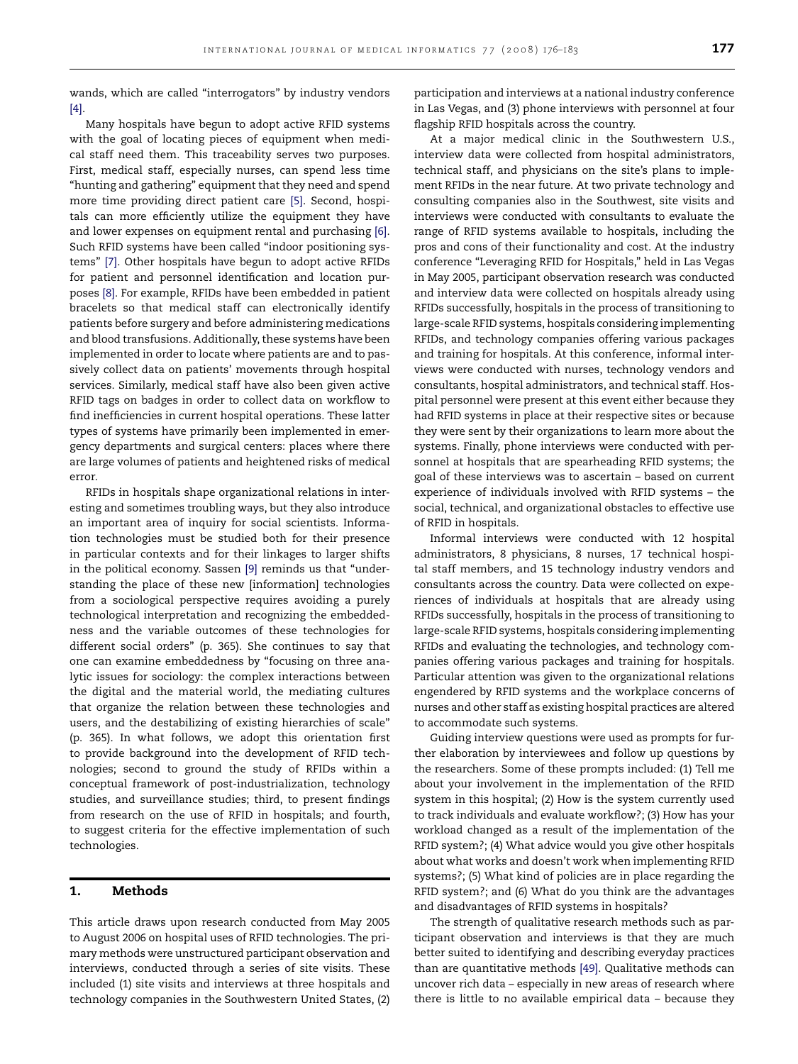wands, which are called "interrogators" by industry vendors [\[4\].](#page-6-0)

Many hospitals have begun to adopt active RFID systems with the goal of locating pieces of equipment when medical staff need them. This traceability serves two purposes. First, medical staff, especially nurses, can spend less time "hunting and gathering" equipment that they need and spend more time providing direct patient care [\[5\].](#page-6-0) Second, hospitals can more efficiently utilize the equipment they have and lower expenses on equipment rental and purchasing [\[6\].](#page-6-0) Such RFID systems have been called "indoor positioning systems" [\[7\]. O](#page-6-0)ther hospitals have begun to adopt active RFIDs for patient and personnel identification and location purposes [\[8\]. F](#page-6-0)or example, RFIDs have been embedded in patient bracelets so that medical staff can electronically identify patients before surgery and before administering medications and blood transfusions. Additionally, these systems have been implemented in order to locate where patients are and to passively collect data on patients' movements through hospital services. Similarly, medical staff have also been given active RFID tags on badges in order to collect data on workflow to find inefficiencies in current hospital operations. These latter types of systems have primarily been implemented in emergency departments and surgical centers: places where there are large volumes of patients and heightened risks of medical error.

RFIDs in hospitals shape organizational relations in interesting and sometimes troubling ways, but they also introduce an important area of inquiry for social scientists. Information technologies must be studied both for their presence in particular contexts and for their linkages to larger shifts in the political economy. Sassen [\[9\]](#page-6-0) reminds us that "understanding the place of these new [information] technologies from a sociological perspective requires avoiding a purely technological interpretation and recognizing the embeddedness and the variable outcomes of these technologies for different social orders" (p. 365). She continues to say that one can examine embeddedness by "focusing on three analytic issues for sociology: the complex interactions between the digital and the material world, the mediating cultures that organize the relation between these technologies and users, and the destabilizing of existing hierarchies of scale" (p. 365). In what follows, we adopt this orientation first to provide background into the development of RFID technologies; second to ground the study of RFIDs within a conceptual framework of post-industrialization, technology studies, and surveillance studies; third, to present findings from research on the use of RFID in hospitals; and fourth, to suggest criteria for the effective implementation of such technologies.

### **1. Methods**

This article draws upon research conducted from May 2005 to August 2006 on hospital uses of RFID technologies. The primary methods were unstructured participant observation and interviews, conducted through a series of site visits. These included (1) site visits and interviews at three hospitals and technology companies in the Southwestern United States, (2)

participation and interviews at a national industry conference in Las Vegas, and (3) phone interviews with personnel at four flagship RFID hospitals across the country.

At a major medical clinic in the Southwestern U.S., interview data were collected from hospital administrators, technical staff, and physicians on the site's plans to implement RFIDs in the near future. At two private technology and consulting companies also in the Southwest, site visits and interviews were conducted with consultants to evaluate the range of RFID systems available to hospitals, including the pros and cons of their functionality and cost. At the industry conference "Leveraging RFID for Hospitals," held in Las Vegas in May 2005, participant observation research was conducted and interview data were collected on hospitals already using RFIDs successfully, hospitals in the process of transitioning to large-scale RFID systems, hospitals considering implementing RFIDs, and technology companies offering various packages and training for hospitals. At this conference, informal interviews were conducted with nurses, technology vendors and consultants, hospital administrators, and technical staff. Hospital personnel were present at this event either because they had RFID systems in place at their respective sites or because they were sent by their organizations to learn more about the systems. Finally, phone interviews were conducted with personnel at hospitals that are spearheading RFID systems; the goal of these interviews was to ascertain – based on current experience of individuals involved with RFID systems – the social, technical, and organizational obstacles to effective use of RFID in hospitals.

Informal interviews were conducted with 12 hospital administrators, 8 physicians, 8 nurses, 17 technical hospital staff members, and 15 technology industry vendors and consultants across the country. Data were collected on experiences of individuals at hospitals that are already using RFIDs successfully, hospitals in the process of transitioning to large-scale RFID systems, hospitals considering implementing RFIDs and evaluating the technologies, and technology companies offering various packages and training for hospitals. Particular attention was given to the organizational relations engendered by RFID systems and the workplace concerns of nurses and other staff as existing hospital practices are altered to accommodate such systems.

Guiding interview questions were used as prompts for further elaboration by interviewees and follow up questions by the researchers. Some of these prompts included: (1) Tell me about your involvement in the implementation of the RFID system in this hospital; (2) How is the system currently used to track individuals and evaluate workflow?; (3) How has your workload changed as a result of the implementation of the RFID system?; (4) What advice would you give other hospitals about what works and doesn't work when implementing RFID systems?; (5) What kind of policies are in place regarding the RFID system?; and (6) What do you think are the advantages and disadvantages of RFID systems in hospitals?

The strength of qualitative research methods such as participant observation and interviews is that they are much better suited to identifying and describing everyday practices than are quantitative methods [\[49\].](#page-7-0) Qualitative methods can uncover rich data – especially in new areas of research where there is little to no available empirical data – because they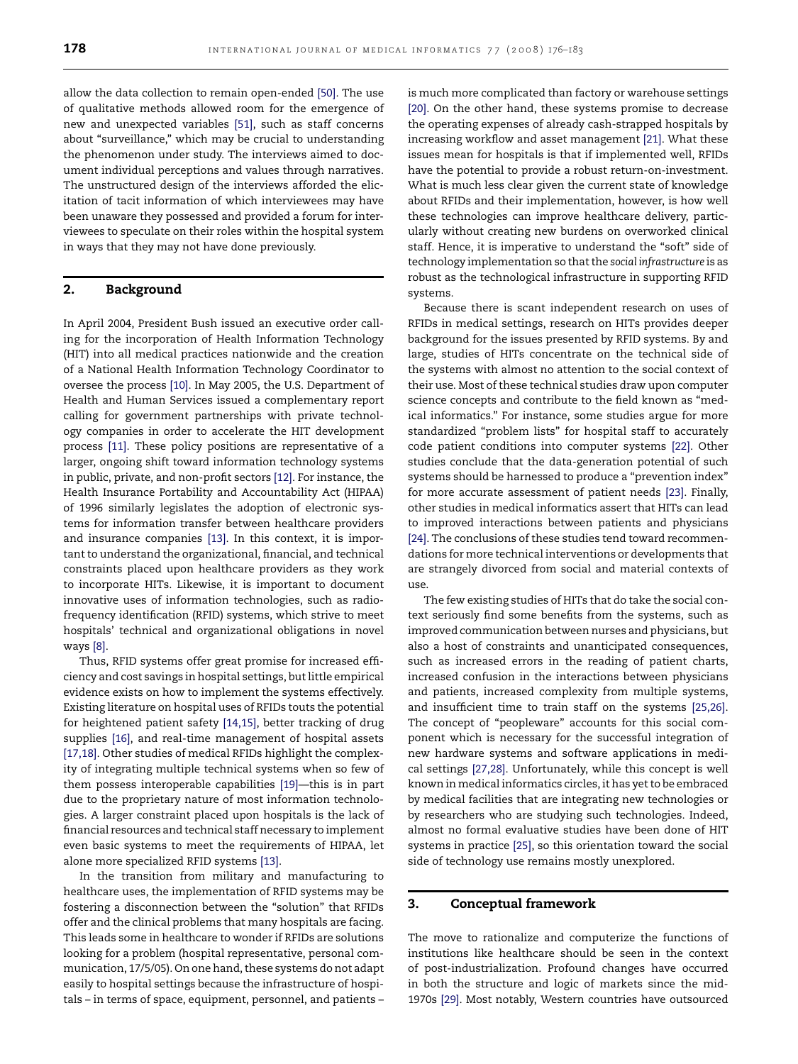allow the data collection to remain open-ended [\[50\]. T](#page-7-0)he use of qualitative methods allowed room for the emergence of new and unexpected variables [\[51\],](#page-7-0) such as staff concerns about "surveillance," which may be crucial to understanding the phenomenon under study. The interviews aimed to document individual perceptions and values through narratives. The unstructured design of the interviews afforded the elicitation of tacit information of which interviewees may have been unaware they possessed and provided a forum for interviewees to speculate on their roles within the hospital system in ways that they may not have done previously.

## **2. Background**

In April 2004, President Bush issued an executive order calling for the incorporation of Health Information Technology (HIT) into all medical practices nationwide and the creation of a National Health Information Technology Coordinator to oversee the process [\[10\]. I](#page-6-0)n May 2005, the U.S. Department of Health and Human Services issued a complementary report calling for government partnerships with private technology companies in order to accelerate the HIT development process [\[11\].](#page-6-0) These policy positions are representative of a larger, ongoing shift toward information technology systems in public, private, and non-profit sectors [\[12\]. F](#page-6-0)or instance, the Health Insurance Portability and Accountability Act (HIPAA) of 1996 similarly legislates the adoption of electronic systems for information transfer between healthcare providers and insurance companies [\[13\].](#page-6-0) In this context, it is important to understand the organizational, financial, and technical constraints placed upon healthcare providers as they work to incorporate HITs. Likewise, it is important to document innovative uses of information technologies, such as radiofrequency identification (RFID) systems, which strive to meet hospitals' technical and organizational obligations in novel ways [\[8\].](#page-6-0)

Thus, RFID systems offer great promise for increased efficiency and cost savings in hospital settings, but little empirical evidence exists on how to implement the systems effectively. Existing literature on hospital uses of RFIDs touts the potential for heightened patient safety [\[14,15\],](#page-6-0) better tracking of drug supplies [\[16\],](#page-6-0) and real-time management of hospital assets [\[17,18\]. O](#page-6-0)ther studies of medical RFIDs highlight the complexity of integrating multiple technical systems when so few of them possess interoperable capabilities [\[19\]—](#page-6-0)this is in part due to the proprietary nature of most information technologies. A larger constraint placed upon hospitals is the lack of financial resources and technical staff necessary to implement even basic systems to meet the requirements of HIPAA, let alone more specialized RFID systems [\[13\].](#page-6-0)

In the transition from military and manufacturing to healthcare uses, the implementation of RFID systems may be fostering a disconnection between the "solution" that RFIDs offer and the clinical problems that many hospitals are facing. This leads some in healthcare to wonder if RFIDs are solutions looking for a problem (hospital representative, personal communication, 17/5/05). On one hand, these systems do not adapt easily to hospital settings because the infrastructure of hospitals – in terms of space, equipment, personnel, and patients – is much more complicated than factory or warehouse settings [\[20\].](#page-6-0) On the other hand, these systems promise to decrease the operating expenses of already cash-strapped hospitals by increasing workflow and asset management [\[21\]. W](#page-6-0)hat these issues mean for hospitals is that if implemented well, RFIDs have the potential to provide a robust return-on-investment. What is much less clear given the current state of knowledge about RFIDs and their implementation, however, is how well these technologies can improve healthcare delivery, particularly without creating new burdens on overworked clinical staff. Hence, it is imperative to understand the "soft" side of technology implementation so that the *social infrastructure* is as robust as the technological infrastructure in supporting RFID systems.

Because there is scant independent research on uses of RFIDs in medical settings, research on HITs provides deeper background for the issues presented by RFID systems. By and large, studies of HITs concentrate on the technical side of the systems with almost no attention to the social context of their use. Most of these technical studies draw upon computer science concepts and contribute to the field known as "medical informatics." For instance, some studies argue for more standardized "problem lists" for hospital staff to accurately code patient conditions into computer systems [\[22\].](#page-6-0) Other studies conclude that the data-generation potential of such systems should be harnessed to produce a "prevention index" for more accurate assessment of patient needs [\[23\].](#page-6-0) Finally, other studies in medical informatics assert that HITs can lead to improved interactions between patients and physicians [\[24\]. T](#page-6-0)he conclusions of these studies tend toward recommendations for more technical interventions or developments that are strangely divorced from social and material contexts of use.

The few existing studies of HITs that do take the social context seriously find some benefits from the systems, such as improved communication between nurses and physicians, but also a host of constraints and unanticipated consequences, such as increased errors in the reading of patient charts, increased confusion in the interactions between physicians and patients, increased complexity from multiple systems, and insufficient time to train staff on the systems [\[25,26\].](#page-7-0) The concept of "peopleware" accounts for this social component which is necessary for the successful integration of new hardware systems and software applications in medical settings [\[27,28\].](#page-7-0) Unfortunately, while this concept is well known in medical informatics circles, it has yet to be embraced by medical facilities that are integrating new technologies or by researchers who are studying such technologies. Indeed, almost no formal evaluative studies have been done of HIT systems in practice [\[25\], s](#page-7-0)o this orientation toward the social side of technology use remains mostly unexplored.

#### **3. Conceptual framework**

The move to rationalize and computerize the functions of institutions like healthcare should be seen in the context of post-industrialization. Profound changes have occurred in both the structure and logic of markets since the mid-1970s [\[29\]. M](#page-7-0)ost notably, Western countries have outsourced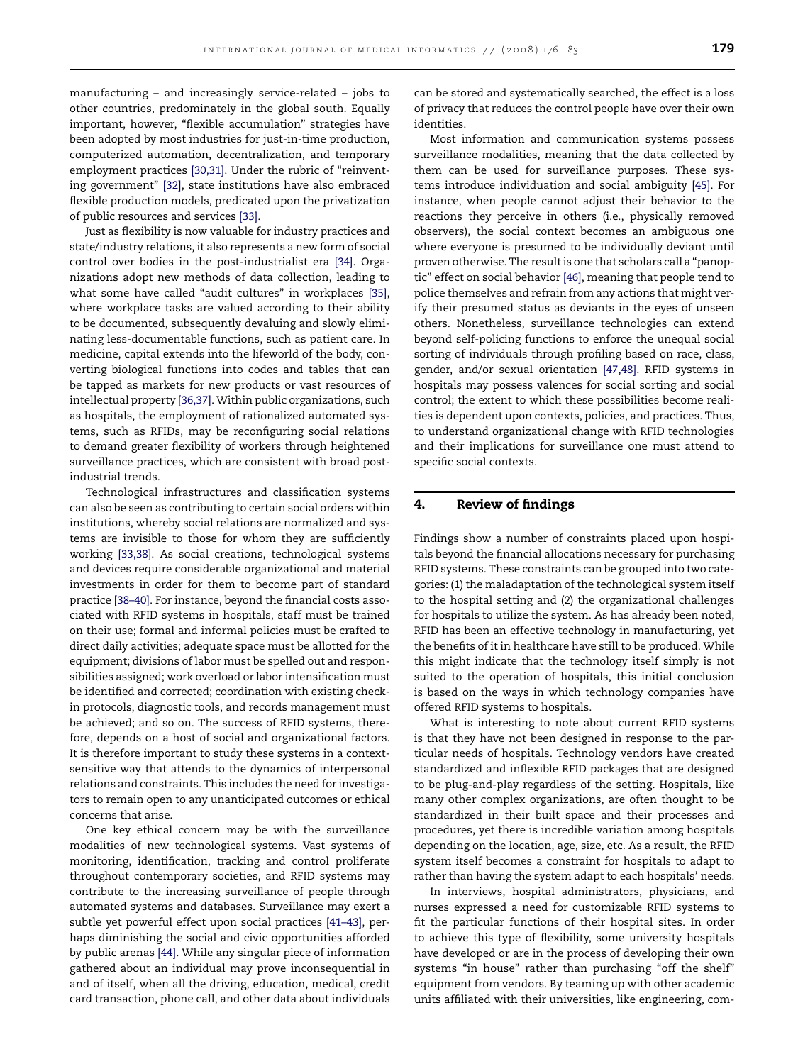manufacturing – and increasingly service-related – jobs to other countries, predominately in the global south. Equally important, however, "flexible accumulation" strategies have been adopted by most industries for just-in-time production, computerized automation, decentralization, and temporary employment practices [\[30,31\].](#page-7-0) Under the rubric of "reinventing government" [\[32\],](#page-7-0) state institutions have also embraced flexible production models, predicated upon the privatization of public resources and services [\[33\].](#page-7-0)

Just as flexibility is now valuable for industry practices and state/industry relations, it also represents a new form of social control over bodies in the post-industrialist era [\[34\].](#page-7-0) Organizations adopt new methods of data collection, leading to what some have called "audit cultures" in workplaces [\[35\],](#page-7-0) where workplace tasks are valued according to their ability to be documented, subsequently devaluing and slowly eliminating less-documentable functions, such as patient care. In medicine, capital extends into the lifeworld of the body, converting biological functions into codes and tables that can be tapped as markets for new products or vast resources of intellectual property [\[36,37\]. W](#page-7-0)ithin public organizations, such as hospitals, the employment of rationalized automated systems, such as RFIDs, may be reconfiguring social relations to demand greater flexibility of workers through heightened surveillance practices, which are consistent with broad postindustrial trends.

Technological infrastructures and classification systems can also be seen as contributing to certain social orders within institutions, whereby social relations are normalized and systems are invisible to those for whom they are sufficiently working [\[33,38\].](#page-7-0) As social creations, technological systems and devices require considerable organizational and material investments in order for them to become part of standard practice [\[38–40\]. F](#page-7-0)or instance, beyond the financial costs associated with RFID systems in hospitals, staff must be trained on their use; formal and informal policies must be crafted to direct daily activities; adequate space must be allotted for the equipment; divisions of labor must be spelled out and responsibilities assigned; work overload or labor intensification must be identified and corrected; coordination with existing checkin protocols, diagnostic tools, and records management must be achieved; and so on. The success of RFID systems, therefore, depends on a host of social and organizational factors. It is therefore important to study these systems in a contextsensitive way that attends to the dynamics of interpersonal relations and constraints. This includes the need for investigators to remain open to any unanticipated outcomes or ethical concerns that arise.

One key ethical concern may be with the surveillance modalities of new technological systems. Vast systems of monitoring, identification, tracking and control proliferate throughout contemporary societies, and RFID systems may contribute to the increasing surveillance of people through automated systems and databases. Surveillance may exert a subtle yet powerful effect upon social practices [\[41–43\],](#page-7-0) perhaps diminishing the social and civic opportunities afforded by public arenas [\[44\]. W](#page-7-0)hile any singular piece of information gathered about an individual may prove inconsequential in and of itself, when all the driving, education, medical, credit card transaction, phone call, and other data about individuals

can be stored and systematically searched, the effect is a loss of privacy that reduces the control people have over their own identities.

Most information and communication systems possess surveillance modalities, meaning that the data collected by them can be used for surveillance purposes. These systems introduce individuation and social ambiguity [\[45\].](#page-7-0) For instance, when people cannot adjust their behavior to the reactions they perceive in others (i.e., physically removed observers), the social context becomes an ambiguous one where everyone is presumed to be individually deviant until proven otherwise. The result is one that scholars call a "panoptic" effect on social behavior [\[46\], m](#page-7-0)eaning that people tend to police themselves and refrain from any actions that might verify their presumed status as deviants in the eyes of unseen others. Nonetheless, surveillance technologies can extend beyond self-policing functions to enforce the unequal social sorting of individuals through profiling based on race, class, gender, and/or sexual orientation [\[47,48\].](#page-7-0) RFID systems in hospitals may possess valences for social sorting and social control; the extent to which these possibilities become realities is dependent upon contexts, policies, and practices. Thus, to understand organizational change with RFID technologies and their implications for surveillance one must attend to specific social contexts.

#### **4. Review of findings**

Findings show a number of constraints placed upon hospitals beyond the financial allocations necessary for purchasing RFID systems. These constraints can be grouped into two categories: (1) the maladaptation of the technological system itself to the hospital setting and (2) the organizational challenges for hospitals to utilize the system. As has already been noted, RFID has been an effective technology in manufacturing, yet the benefits of it in healthcare have still to be produced. While this might indicate that the technology itself simply is not suited to the operation of hospitals, this initial conclusion is based on the ways in which technology companies have offered RFID systems to hospitals.

What is interesting to note about current RFID systems is that they have not been designed in response to the particular needs of hospitals. Technology vendors have created standardized and inflexible RFID packages that are designed to be plug-and-play regardless of the setting. Hospitals, like many other complex organizations, are often thought to be standardized in their built space and their processes and procedures, yet there is incredible variation among hospitals depending on the location, age, size, etc. As a result, the RFID system itself becomes a constraint for hospitals to adapt to rather than having the system adapt to each hospitals' needs.

In interviews, hospital administrators, physicians, and nurses expressed a need for customizable RFID systems to fit the particular functions of their hospital sites. In order to achieve this type of flexibility, some university hospitals have developed or are in the process of developing their own systems "in house" rather than purchasing "off the shelf" equipment from vendors. By teaming up with other academic units affiliated with their universities, like engineering, com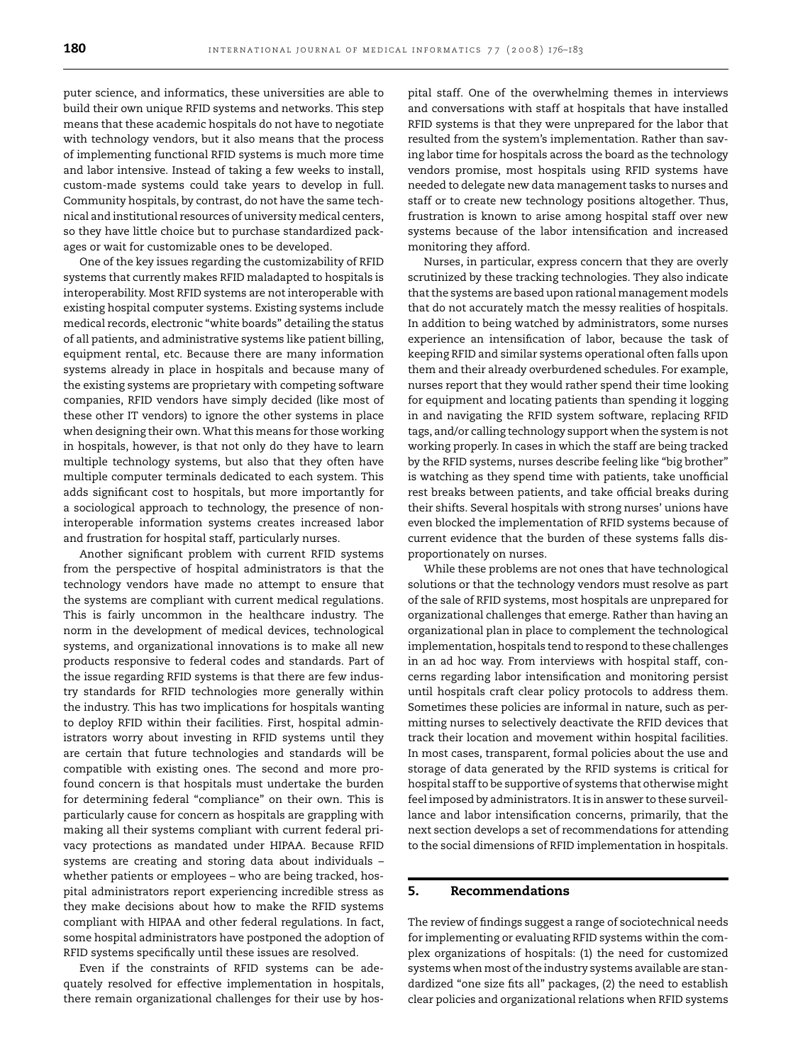puter science, and informatics, these universities are able to build their own unique RFID systems and networks. This step means that these academic hospitals do not have to negotiate with technology vendors, but it also means that the process of implementing functional RFID systems is much more time and labor intensive. Instead of taking a few weeks to install, custom-made systems could take years to develop in full. Community hospitals, by contrast, do not have the same technical and institutional resources of university medical centers, so they have little choice but to purchase standardized packages or wait for customizable ones to be developed.

One of the key issues regarding the customizability of RFID systems that currently makes RFID maladapted to hospitals is interoperability. Most RFID systems are not interoperable with existing hospital computer systems. Existing systems include medical records, electronic "white boards" detailing the status of all patients, and administrative systems like patient billing, equipment rental, etc. Because there are many information systems already in place in hospitals and because many of the existing systems are proprietary with competing software companies, RFID vendors have simply decided (like most of these other IT vendors) to ignore the other systems in place when designing their own. What this means for those working in hospitals, however, is that not only do they have to learn multiple technology systems, but also that they often have multiple computer terminals dedicated to each system. This adds significant cost to hospitals, but more importantly for a sociological approach to technology, the presence of noninteroperable information systems creates increased labor and frustration for hospital staff, particularly nurses.

Another significant problem with current RFID systems from the perspective of hospital administrators is that the technology vendors have made no attempt to ensure that the systems are compliant with current medical regulations. This is fairly uncommon in the healthcare industry. The norm in the development of medical devices, technological systems, and organizational innovations is to make all new products responsive to federal codes and standards. Part of the issue regarding RFID systems is that there are few industry standards for RFID technologies more generally within the industry. This has two implications for hospitals wanting to deploy RFID within their facilities. First, hospital administrators worry about investing in RFID systems until they are certain that future technologies and standards will be compatible with existing ones. The second and more profound concern is that hospitals must undertake the burden for determining federal "compliance" on their own. This is particularly cause for concern as hospitals are grappling with making all their systems compliant with current federal privacy protections as mandated under HIPAA. Because RFID systems are creating and storing data about individuals – whether patients or employees – who are being tracked, hospital administrators report experiencing incredible stress as they make decisions about how to make the RFID systems compliant with HIPAA and other federal regulations. In fact, some hospital administrators have postponed the adoption of RFID systems specifically until these issues are resolved.

Even if the constraints of RFID systems can be adequately resolved for effective implementation in hospitals, there remain organizational challenges for their use by hospital staff. One of the overwhelming themes in interviews and conversations with staff at hospitals that have installed RFID systems is that they were unprepared for the labor that resulted from the system's implementation. Rather than saving labor time for hospitals across the board as the technology vendors promise, most hospitals using RFID systems have needed to delegate new data management tasks to nurses and staff or to create new technology positions altogether. Thus, frustration is known to arise among hospital staff over new systems because of the labor intensification and increased monitoring they afford.

Nurses, in particular, express concern that they are overly scrutinized by these tracking technologies. They also indicate that the systems are based upon rational management models that do not accurately match the messy realities of hospitals. In addition to being watched by administrators, some nurses experience an intensification of labor, because the task of keeping RFID and similar systems operational often falls upon them and their already overburdened schedules. For example, nurses report that they would rather spend their time looking for equipment and locating patients than spending it logging in and navigating the RFID system software, replacing RFID tags, and/or calling technology support when the system is not working properly. In cases in which the staff are being tracked by the RFID systems, nurses describe feeling like "big brother" is watching as they spend time with patients, take unofficial rest breaks between patients, and take official breaks during their shifts. Several hospitals with strong nurses' unions have even blocked the implementation of RFID systems because of current evidence that the burden of these systems falls disproportionately on nurses.

While these problems are not ones that have technological solutions or that the technology vendors must resolve as part of the sale of RFID systems, most hospitals are unprepared for organizational challenges that emerge. Rather than having an organizational plan in place to complement the technological implementation, hospitals tend to respond to these challenges in an ad hoc way. From interviews with hospital staff, concerns regarding labor intensification and monitoring persist until hospitals craft clear policy protocols to address them. Sometimes these policies are informal in nature, such as permitting nurses to selectively deactivate the RFID devices that track their location and movement within hospital facilities. In most cases, transparent, formal policies about the use and storage of data generated by the RFID systems is critical for hospital staff to be supportive of systems that otherwise might feel imposed by administrators. It is in answer to these surveillance and labor intensification concerns, primarily, that the next section develops a set of recommendations for attending to the social dimensions of RFID implementation in hospitals.

#### **5. Recommendations**

The review of findings suggest a range of sociotechnical needs for implementing or evaluating RFID systems within the complex organizations of hospitals: (1) the need for customized systems when most of the industry systems available are standardized "one size fits all" packages, (2) the need to establish clear policies and organizational relations when RFID systems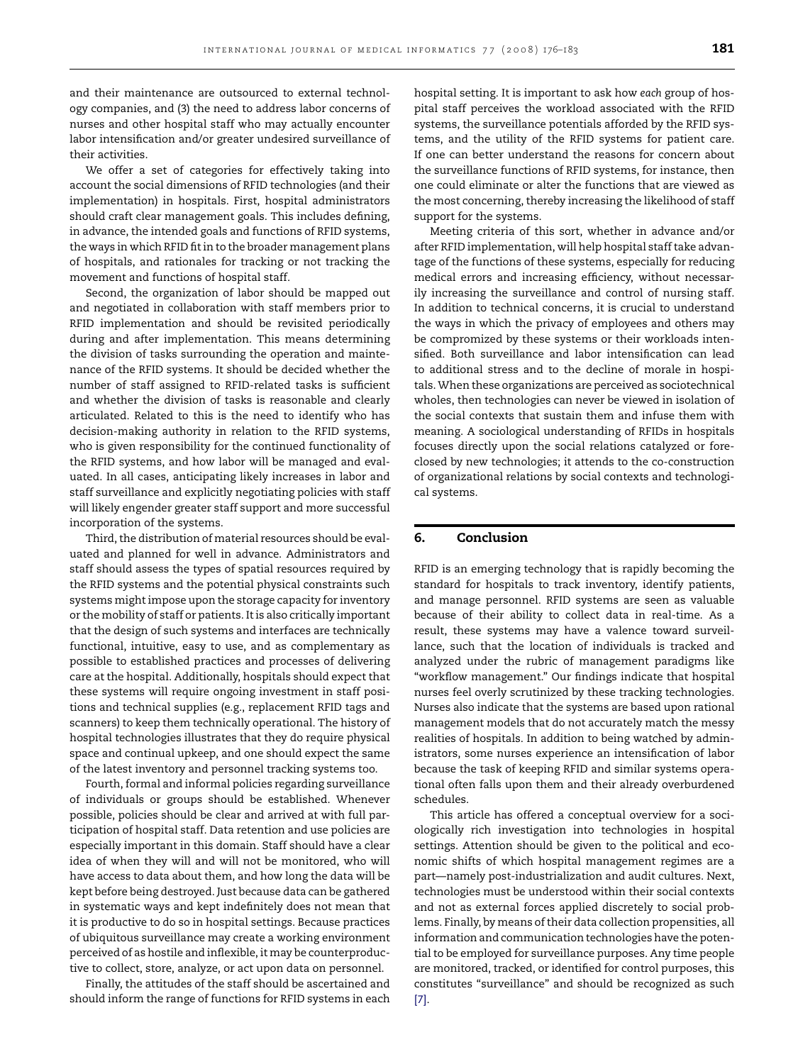and their maintenance are outsourced to external technology companies, and (3) the need to address labor concerns of nurses and other hospital staff who may actually encounter labor intensification and/or greater undesired surveillance of their activities.

We offer a set of categories for effectively taking into account the social dimensions of RFID technologies (and their implementation) in hospitals. First, hospital administrators should craft clear management goals. This includes defining, in advance, the intended goals and functions of RFID systems, the ways in which RFID fit in to the broader management plans of hospitals, and rationales for tracking or not tracking the movement and functions of hospital staff.

Second, the organization of labor should be mapped out and negotiated in collaboration with staff members prior to RFID implementation and should be revisited periodically during and after implementation. This means determining the division of tasks surrounding the operation and maintenance of the RFID systems. It should be decided whether the number of staff assigned to RFID-related tasks is sufficient and whether the division of tasks is reasonable and clearly articulated. Related to this is the need to identify who has decision-making authority in relation to the RFID systems, who is given responsibility for the continued functionality of the RFID systems, and how labor will be managed and evaluated. In all cases, anticipating likely increases in labor and staff surveillance and explicitly negotiating policies with staff will likely engender greater staff support and more successful incorporation of the systems.

Third, the distribution of material resources should be evaluated and planned for well in advance. Administrators and staff should assess the types of spatial resources required by the RFID systems and the potential physical constraints such systems might impose upon the storage capacity for inventory or the mobility of staff or patients. It is also critically important that the design of such systems and interfaces are technically functional, intuitive, easy to use, and as complementary as possible to established practices and processes of delivering care at the hospital. Additionally, hospitals should expect that these systems will require ongoing investment in staff positions and technical supplies (e.g., replacement RFID tags and scanners) to keep them technically operational. The history of hospital technologies illustrates that they do require physical space and continual upkeep, and one should expect the same of the latest inventory and personnel tracking systems too.

Fourth, formal and informal policies regarding surveillance of individuals or groups should be established. Whenever possible, policies should be clear and arrived at with full participation of hospital staff. Data retention and use policies are especially important in this domain. Staff should have a clear idea of when they will and will not be monitored, who will have access to data about them, and how long the data will be kept before being destroyed. Just because data can be gathered in systematic ways and kept indefinitely does not mean that it is productive to do so in hospital settings. Because practices of ubiquitous surveillance may create a working environment perceived of as hostile and inflexible, it may be counterproductive to collect, store, analyze, or act upon data on personnel.

Finally, the attitudes of the staff should be ascertained and should inform the range of functions for RFID systems in each hospital setting. It is important to ask how *each* group of hospital staff perceives the workload associated with the RFID systems, the surveillance potentials afforded by the RFID systems, and the utility of the RFID systems for patient care. If one can better understand the reasons for concern about the surveillance functions of RFID systems, for instance, then one could eliminate or alter the functions that are viewed as the most concerning, thereby increasing the likelihood of staff support for the systems.

Meeting criteria of this sort, whether in advance and/or after RFID implementation, will help hospital staff take advantage of the functions of these systems, especially for reducing medical errors and increasing efficiency, without necessarily increasing the surveillance and control of nursing staff. In addition to technical concerns, it is crucial to understand the ways in which the privacy of employees and others may be compromized by these systems or their workloads intensified. Both surveillance and labor intensification can lead to additional stress and to the decline of morale in hospitals. When these organizations are perceived as sociotechnical wholes, then technologies can never be viewed in isolation of the social contexts that sustain them and infuse them with meaning. A sociological understanding of RFIDs in hospitals focuses directly upon the social relations catalyzed or foreclosed by new technologies; it attends to the co-construction of organizational relations by social contexts and technological systems.

#### **6. Conclusion**

RFID is an emerging technology that is rapidly becoming the standard for hospitals to track inventory, identify patients, and manage personnel. RFID systems are seen as valuable because of their ability to collect data in real-time. As a result, these systems may have a valence toward surveillance, such that the location of individuals is tracked and analyzed under the rubric of management paradigms like "workflow management." Our findings indicate that hospital nurses feel overly scrutinized by these tracking technologies. Nurses also indicate that the systems are based upon rational management models that do not accurately match the messy realities of hospitals. In addition to being watched by administrators, some nurses experience an intensification of labor because the task of keeping RFID and similar systems operational often falls upon them and their already overburdened schedules.

This article has offered a conceptual overview for a sociologically rich investigation into technologies in hospital settings. Attention should be given to the political and economic shifts of which hospital management regimes are a part—namely post-industrialization and audit cultures. Next, technologies must be understood within their social contexts and not as external forces applied discretely to social problems. Finally, by means of their data collection propensities, all information and communication technologies have the potential to be employed for surveillance purposes. Any time people are monitored, tracked, or identified for control purposes, this constitutes "surveillance" and should be recognized as such [\[7\].](#page-6-0)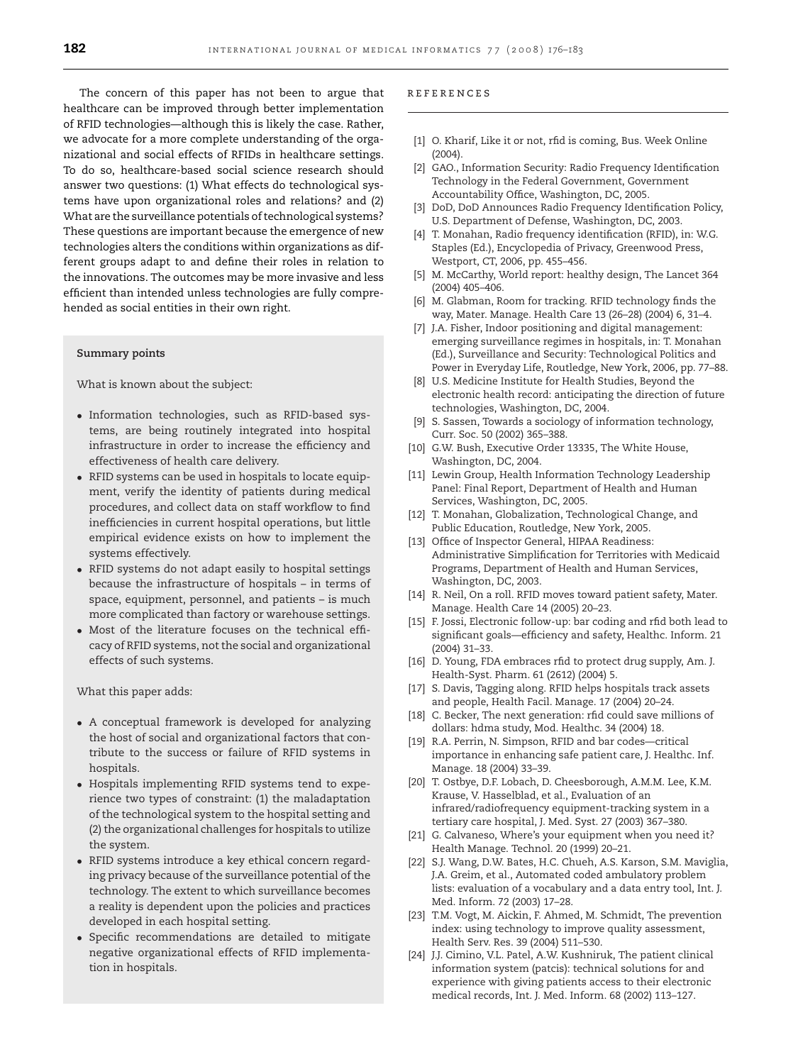<span id="page-6-0"></span>The concern of this paper has not been to argue that healthcare can be improved through better implementation of RFID technologies—although this is likely the case. Rather, we advocate for a more complete understanding of the organizational and social effects of RFIDs in healthcare settings. To do so, healthcare-based social science research should answer two questions: (1) What effects do technological systems have upon organizational roles and relations? and (2) What are the surveillance potentials of technological systems? These questions are important because the emergence of new technologies alters the conditions within organizations as different groups adapt to and define their roles in relation to the innovations. The outcomes may be more invasive and less efficient than intended unless technologies are fully comprehended as social entities in their own right.

#### **Summary points**

What is known about the subject:

- Information technologies, such as RFID-based systems, are being routinely integrated into hospital infrastructure in order to increase the efficiency and effectiveness of health care delivery.
- RFID systems can be used in hospitals to locate equipment, verify the identity of patients during medical procedures, and collect data on staff workflow to find inefficiencies in current hospital operations, but little empirical evidence exists on how to implement the systems effectively.
- RFID systems do not adapt easily to hospital settings because the infrastructure of hospitals – in terms of space, equipment, personnel, and patients – is much more complicated than factory or warehouse settings.
- Most of the literature focuses on the technical efficacy of RFID systems, not the social and organizational effects of such systems.

What this paper adds:

- A conceptual framework is developed for analyzing the host of social and organizational factors that contribute to the success or failure of RFID systems in hospitals.
- Hospitals implementing RFID systems tend to experience two types of constraint: (1) the maladaptation of the technological system to the hospital setting and (2) the organizational challenges for hospitals to utilize the system.
- RFID systems introduce a key ethical concern regarding privacy because of the surveillance potential of the technology. The extent to which surveillance becomes a reality is dependent upon the policies and practices developed in each hospital setting.
- Specific recommendations are detailed to mitigate negative organizational effects of RFID implementation in hospitals.

#### references

- [1] O. Kharif, Like it or not, rfid is coming, Bus. Week Online  $(2004)$
- [2] GAO., Information Security: Radio Frequency Identification Technology in the Federal Government, Government Accountability Office, Washington, DC, 2005.
- [3] DoD, DoD Announces Radio Frequency Identification Policy, U.S. Department of Defense, Washington, DC, 2003.
- [4] T. Monahan, Radio frequency identification (RFID), in: W.G. Staples (Ed.), Encyclopedia of Privacy, Greenwood Press, Westport, CT, 2006, pp. 455–456.
- [5] M. McCarthy, World report: healthy design, The Lancet 364 (2004) 405–406.
- [6] M. Glabman, Room for tracking. RFID technology finds the way, Mater. Manage. Health Care 13 (26–28) (2004) 6, 31–4.
- [7] J.A. Fisher, Indoor positioning and digital management: emerging surveillance regimes in hospitals, in: T. Monahan (Ed.), Surveillance and Security: Technological Politics and Power in Everyday Life, Routledge, New York, 2006, pp. 77–88.
- [8] U.S. Medicine Institute for Health Studies, Beyond the electronic health record: anticipating the direction of future technologies, Washington, DC, 2004.
- [9] S. Sassen, Towards a sociology of information technology, Curr. Soc. 50 (2002) 365–388.
- [10] G.W. Bush, Executive Order 13335, The White House, Washington, DC, 2004.
- [11] Lewin Group, Health Information Technology Leadership Panel: Final Report, Department of Health and Human Services, Washington, DC, 2005.
- [12] T. Monahan, Globalization, Technological Change, and Public Education, Routledge, New York, 2005.
- [13] Office of Inspector General, HIPAA Readiness: Administrative Simplification for Territories with Medicaid Programs, Department of Health and Human Services, Washington, DC, 2003.
- [14] R. Neil, On a roll. RFID moves toward patient safety, Mater. Manage. Health Care 14 (2005) 20–23.
- [15] F. Jossi, Electronic follow-up: bar coding and rfid both lead to significant goals—efficiency and safety, Healthc. Inform. 21 (2004) 31–33.
- [16] D. Young, FDA embraces rfid to protect drug supply, Am. J. Health-Syst. Pharm. 61 (2612) (2004) 5.
- [17] S. Davis, Tagging along. RFID helps hospitals track assets and people, Health Facil. Manage. 17 (2004) 20–24.
- [18] C. Becker, The next generation: rfid could save millions of dollars: hdma study, Mod. Healthc. 34 (2004) 18.
- [19] R.A. Perrin, N. Simpson, RFID and bar codes—critical importance in enhancing safe patient care, J. Healthc. Inf. Manage. 18 (2004) 33–39.
- [20] T. Ostbye, D.F. Lobach, D. Cheesborough, A.M.M. Lee, K.M. Krause, V. Hasselblad, et al., Evaluation of an infrared/radiofrequency equipment-tracking system in a tertiary care hospital, J. Med. Syst. 27 (2003) 367–380.
- [21] G. Calvaneso, Where's your equipment when you need it? Health Manage. Technol. 20 (1999) 20–21.
- [22] S.J. Wang, D.W. Bates, H.C. Chueh, A.S. Karson, S.M. Maviglia, J.A. Greim, et al., Automated coded ambulatory problem lists: evaluation of a vocabulary and a data entry tool, Int. J. Med. Inform. 72 (2003) 17–28.
- [23] T.M. Vogt, M. Aickin, F. Ahmed, M. Schmidt, The prevention index: using technology to improve quality assessment, Health Serv. Res. 39 (2004) 511–530.
- [24] J.J. Cimino, V.L. Patel, A.W. Kushniruk, The patient clinical information system (patcis): technical solutions for and experience with giving patients access to their electronic medical records, Int. J. Med. Inform. 68 (2002) 113–127.